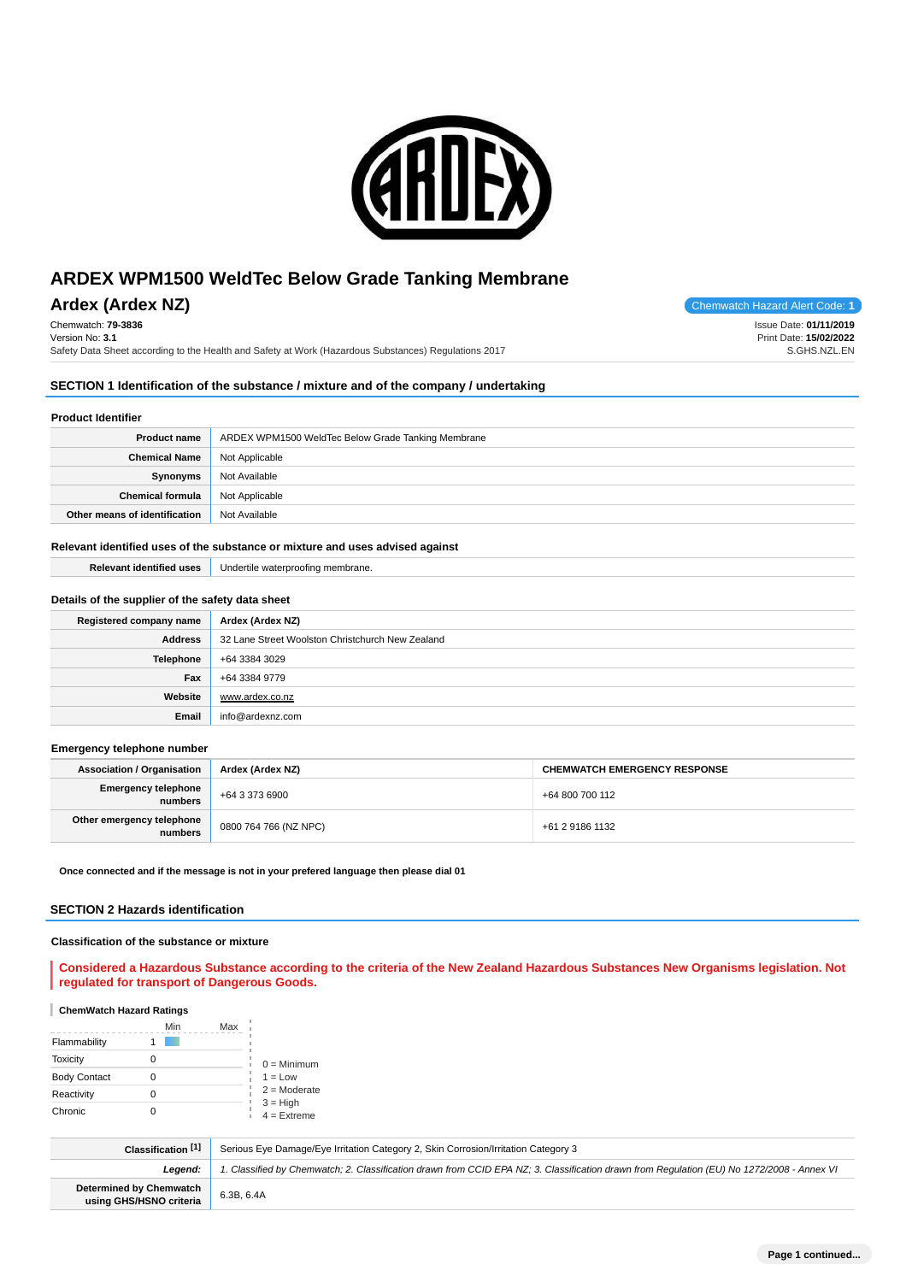

## **Ardex (Ardex NZ) Chemwatch Hazard Alert Code: 1**

Chemwatch: **79-3836** Version No: **3.1**

Safety Data Sheet according to the Health and Safety at Work (Hazardous Substances) Regulations 2017

Issue Date: **01/11/2019**

Print Date: **15/02/2022** S.GHS.NZL.EN

#### **SECTION 1 Identification of the substance / mixture and of the company / undertaking**

### **Product Identifier**

| <b>Product name</b>           | ARDEX WPM1500 WeldTec Below Grade Tanking Membrane |
|-------------------------------|----------------------------------------------------|
| <b>Chemical Name</b>          | Not Applicable                                     |
| Synonyms                      | Not Available                                      |
| <b>Chemical formula</b>       | Not Applicable                                     |
| Other means of identification | Not Available                                      |

### **Relevant identified uses of the substance or mixture and uses advised against**

| <b>Relevant identified uses</b>                  | Undertile waterproofing membrane.                |
|--------------------------------------------------|--------------------------------------------------|
|                                                  |                                                  |
| Details of the supplier of the safety data sheet |                                                  |
| Registered company name                          | Ardex (Ardex NZ)                                 |
| <b>Address</b>                                   | 32 Lane Street Woolston Christchurch New Zealand |
| Telephone                                        | +64 3384 3029                                    |
| Fax                                              | +64 3384 9779                                    |
| Website                                          | www.ardex.co.nz                                  |
| Email                                            | info@ardexnz.com                                 |
|                                                  |                                                  |

#### **Emergency telephone number**

| <b>Association / Organisation</b>     | Ardex (Ardex NZ)      | <b>CHEMWATCH EMERGENCY RESPONSE</b> |
|---------------------------------------|-----------------------|-------------------------------------|
| <b>Emergency telephone</b><br>numbers | +64 3 373 6900        | +64 800 700 112                     |
| Other emergency telephone<br>numbers  | 0800 764 766 (NZ NPC) | +61 2 9186 1132                     |

**Once connected and if the message is not in your prefered language then please dial 01**

#### **SECTION 2 Hazards identification**

#### **Classification of the substance or mixture**

#### **Considered a Hazardous Substance according to the criteria of the New Zealand Hazardous Substances New Organisms legislation. Not regulated for transport of Dangerous Goods.**

#### **ChemWatch Hazard Ratings**

|                     | Min | Max |                              |
|---------------------|-----|-----|------------------------------|
| Flammability        |     |     |                              |
| <b>Toxicity</b>     |     |     | $0 =$ Minimum                |
| <b>Body Contact</b> |     |     | $1 = Low$                    |
| Reactivity          |     |     | $2 =$ Moderate<br>$3 = High$ |
| Chronic             |     |     | $4 =$ Extreme                |

| Classification [1]                                        | Serious Eye Damage/Eye Irritation Category 2, Skin Corrosion/Irritation Category 3                                                         |
|-----------------------------------------------------------|--------------------------------------------------------------------------------------------------------------------------------------------|
| Leaend:                                                   | 1. Classified by Chemwatch; 2. Classification drawn from CCID EPA NZ; 3. Classification drawn from Requlation (EU) No 1272/2008 - Annex VI |
| <b>Determined by Chemwatch</b><br>using GHS/HSNO criteria | 6.3B, 6.4A                                                                                                                                 |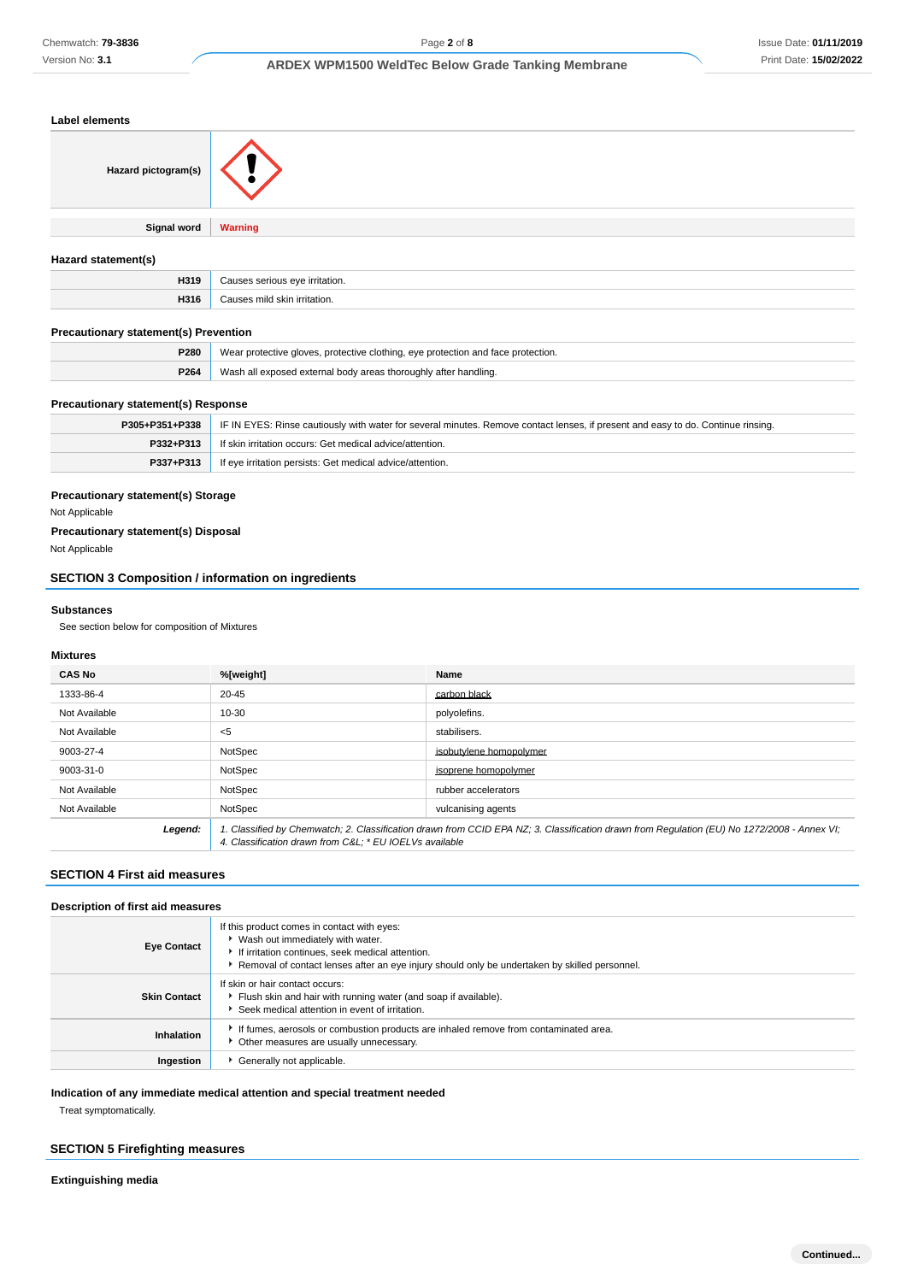| Label elements                               |                                                                                  |
|----------------------------------------------|----------------------------------------------------------------------------------|
| Hazard pictogram(s)                          |                                                                                  |
| <b>Signal word</b>                           | <b>Warning</b>                                                                   |
| Hazard statement(s)                          |                                                                                  |
| H319                                         | Causes serious eye irritation.                                                   |
| H316                                         | Causes mild skin irritation.                                                     |
| <b>Precautionary statement(s) Prevention</b> |                                                                                  |
| P280                                         | Wear protective gloves, protective clothing, eye protection and face protection. |
| P264                                         | Wash all exposed external body areas thoroughly after handling.                  |
|                                              |                                                                                  |

#### **Precautionary statement(s) Response**

| P305+P351+P338 | IF IN EYES: Rinse cautiously with water for several minutes. Remove contact lenses, if present and easy to do. Continue rinsing. |
|----------------|----------------------------------------------------------------------------------------------------------------------------------|
| P332+P313      | If skin irritation occurs: Get medical advice/attention.                                                                         |
| P337+P313      | If eye irritation persists: Get medical advice/attention.                                                                        |
|                |                                                                                                                                  |

### **Precautionary statement(s) Storage**

Not Applicable

### **Precautionary statement(s) Disposal** Not Applicable

## **SECTION 3 Composition / information on ingredients**

#### **Substances**

See section below for composition of Mixtures

### **Mixtures**

| <b>CAS No</b> | %[weight]                                                                                                                                                                                              | Name                    |
|---------------|--------------------------------------------------------------------------------------------------------------------------------------------------------------------------------------------------------|-------------------------|
| 1333-86-4     | $20 - 45$                                                                                                                                                                                              | carbon black            |
| Not Available | $10 - 30$                                                                                                                                                                                              | polyolefins.            |
| Not Available | $<$ 5                                                                                                                                                                                                  | stabilisers.            |
| 9003-27-4     | NotSpec                                                                                                                                                                                                | isobutvlene homopolymer |
| 9003-31-0     | NotSpec                                                                                                                                                                                                | isoprene homopolymer    |
| Not Available | NotSpec                                                                                                                                                                                                | rubber accelerators     |
| Not Available | NotSpec                                                                                                                                                                                                | vulcanising agents      |
| Legend:       | 1. Classified by Chemwatch; 2. Classification drawn from CCID EPA NZ; 3. Classification drawn from Requlation (EU) No 1272/2008 - Annex VI;<br>4. Classification drawn from C&L: * EU IOELVs available |                         |

## **SECTION 4 First aid measures**

| Description of first aid measures |                                                                                                                                                                                                                                          |  |
|-----------------------------------|------------------------------------------------------------------------------------------------------------------------------------------------------------------------------------------------------------------------------------------|--|
| <b>Eye Contact</b>                | If this product comes in contact with eyes:<br>▶ Wash out immediately with water.<br>If irritation continues, seek medical attention.<br>▶ Removal of contact lenses after an eye injury should only be undertaken by skilled personnel. |  |
| <b>Skin Contact</b>               | If skin or hair contact occurs:<br>Flush skin and hair with running water (and soap if available).<br>▶ Seek medical attention in event of irritation.                                                                                   |  |
| Inhalation                        | If fumes, aerosols or combustion products are inhaled remove from contaminated area.<br>• Other measures are usually unnecessary.                                                                                                        |  |
| Ingestion                         | Generally not applicable.                                                                                                                                                                                                                |  |

#### **Indication of any immediate medical attention and special treatment needed**

Treat symptomatically.

### **SECTION 5 Firefighting measures**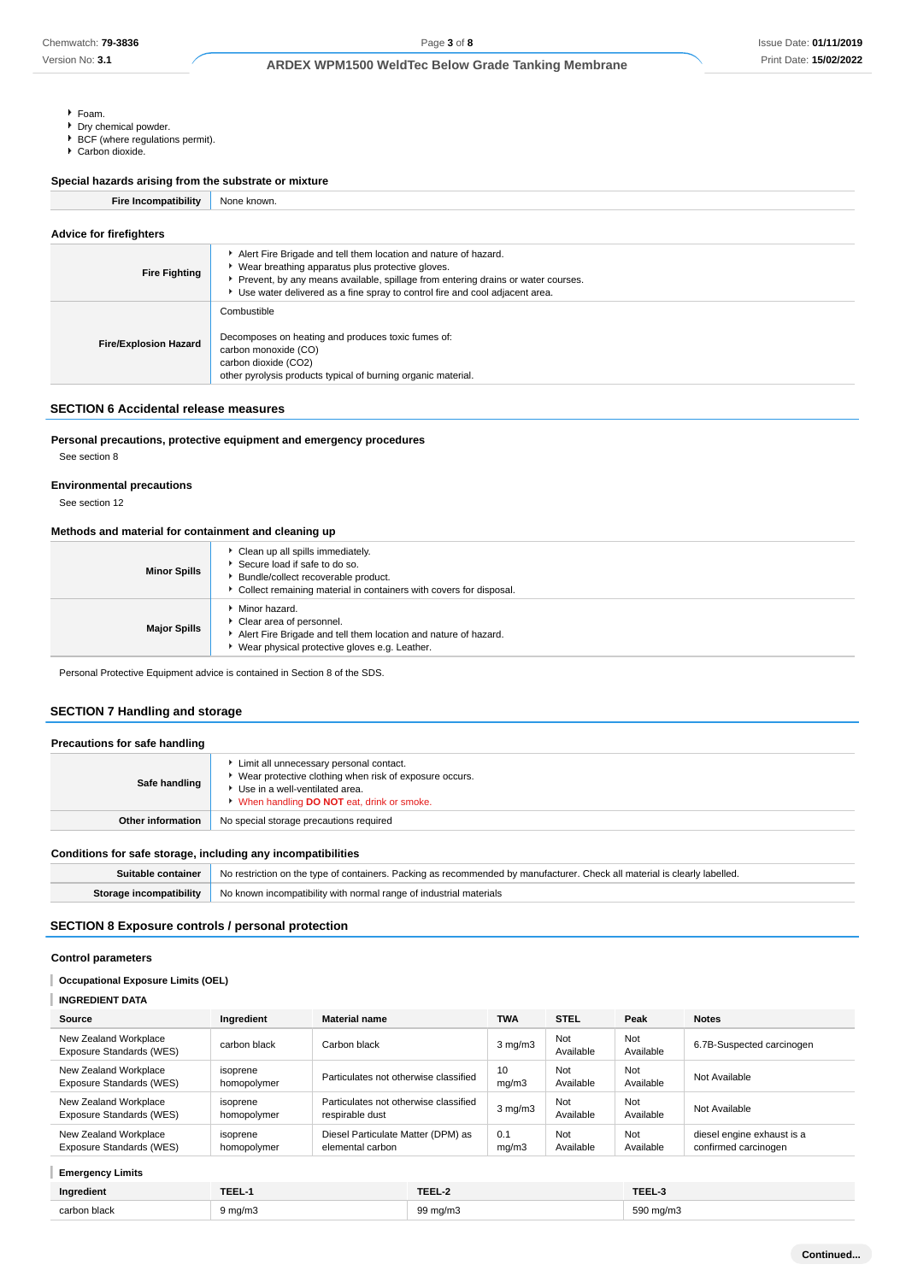- Foam.
- **Dry chemical powder.**
- **BCF** (where regulations permit).
- Carbon dioxide.

#### **Special hazards arising from the substrate or mixture**

**Fire Incompatibility** None known.

| Advice for firefighters      |                                                                                                                                                                                                                                                                                          |  |
|------------------------------|------------------------------------------------------------------------------------------------------------------------------------------------------------------------------------------------------------------------------------------------------------------------------------------|--|
| <b>Fire Fighting</b>         | Alert Fire Brigade and tell them location and nature of hazard.<br>• Wear breathing apparatus plus protective gloves.<br>Prevent, by any means available, spillage from entering drains or water courses.<br>Use water delivered as a fine spray to control fire and cool adjacent area. |  |
| <b>Fire/Explosion Hazard</b> | Combustible<br>Decomposes on heating and produces toxic fumes of:<br>carbon monoxide (CO)<br>carbon dioxide (CO2)<br>other pyrolysis products typical of burning organic material.                                                                                                       |  |

#### **SECTION 6 Accidental release measures**

### **Personal precautions, protective equipment and emergency procedures**

See section 8

#### **Environmental precautions**

See section 12

#### **Methods and material for containment and cleaning up**

| <b>Minor Spills</b> | Clean up all spills immediately.<br>Secure load if safe to do so.<br>Bundle/collect recoverable product.<br>Collect remaining material in containers with covers for disposal. |
|---------------------|--------------------------------------------------------------------------------------------------------------------------------------------------------------------------------|
| <b>Major Spills</b> | Minor hazard.<br>Clear area of personnel.<br>Alert Fire Brigade and tell them location and nature of hazard.<br>Wear physical protective gloves e.g. Leather.                  |

Personal Protective Equipment advice is contained in Section 8 of the SDS.

## **SECTION 7 Handling and storage**

| Precautions for safe handling |                                                                                                                                                                                    |
|-------------------------------|------------------------------------------------------------------------------------------------------------------------------------------------------------------------------------|
| Safe handling                 | Limit all unnecessary personal contact.<br>Wear protective clothing when risk of exposure occurs.<br>Use in a well-ventilated area.<br>V When handling DO NOT eat, drink or smoke. |
| Other information             | No special storage precautions required                                                                                                                                            |

#### **Conditions for safe storage, including any incompatibilities**

| Suitable container | No restriction on the type of containers. Packing as recommended by manufacturer. Check all material is clearly labelled. |
|--------------------|---------------------------------------------------------------------------------------------------------------------------|
|                    | <b>Storage incompatibility</b> No known incompatibility with normal range of industrial materials                         |

#### **SECTION 8 Exposure controls / personal protection**

#### **Control parameters**

### **Occupational Exposure Limits (OEL)**

#### T **INGREDIENT DATA**

| Source                                            | Ingredient              | <b>Material name</b>                                     | <b>TWA</b>       | <b>STEL</b>      | Peak             | <b>Notes</b>                                       |
|---------------------------------------------------|-------------------------|----------------------------------------------------------|------------------|------------------|------------------|----------------------------------------------------|
| New Zealand Workplace<br>Exposure Standards (WES) | carbon black            | Carbon black                                             | $3 \text{ mg/m}$ | Not<br>Available | Not<br>Available | 6.7B-Suspected carcinogen                          |
| New Zealand Workplace<br>Exposure Standards (WES) | isoprene<br>homopolymer | Particulates not otherwise classified                    | 10<br>mq/m3      | Not<br>Available | Not<br>Available | Not Available                                      |
| New Zealand Workplace<br>Exposure Standards (WES) | isoprene<br>homopolymer | Particulates not otherwise classified<br>respirable dust | $3 \text{ mg/m}$ | Not<br>Available | Not<br>Available | Not Available                                      |
| New Zealand Workplace<br>Exposure Standards (WES) | isoprene<br>homopolymer | Diesel Particulate Matter (DPM) as<br>elemental carbon   | 0.1<br>mq/m3     | Not<br>Available | Not<br>Available | diesel engine exhaust is a<br>confirmed carcinogen |

### **Emergency Limits**

| $\cdots$<br>Ingredient | <b>TEEL</b> | <b>TEEL-2</b> | TEEL-     |
|------------------------|-------------|---------------|-----------|
| carbon black           | 9 ma/m3     | 99 ma/m3      | 590 mg/m3 |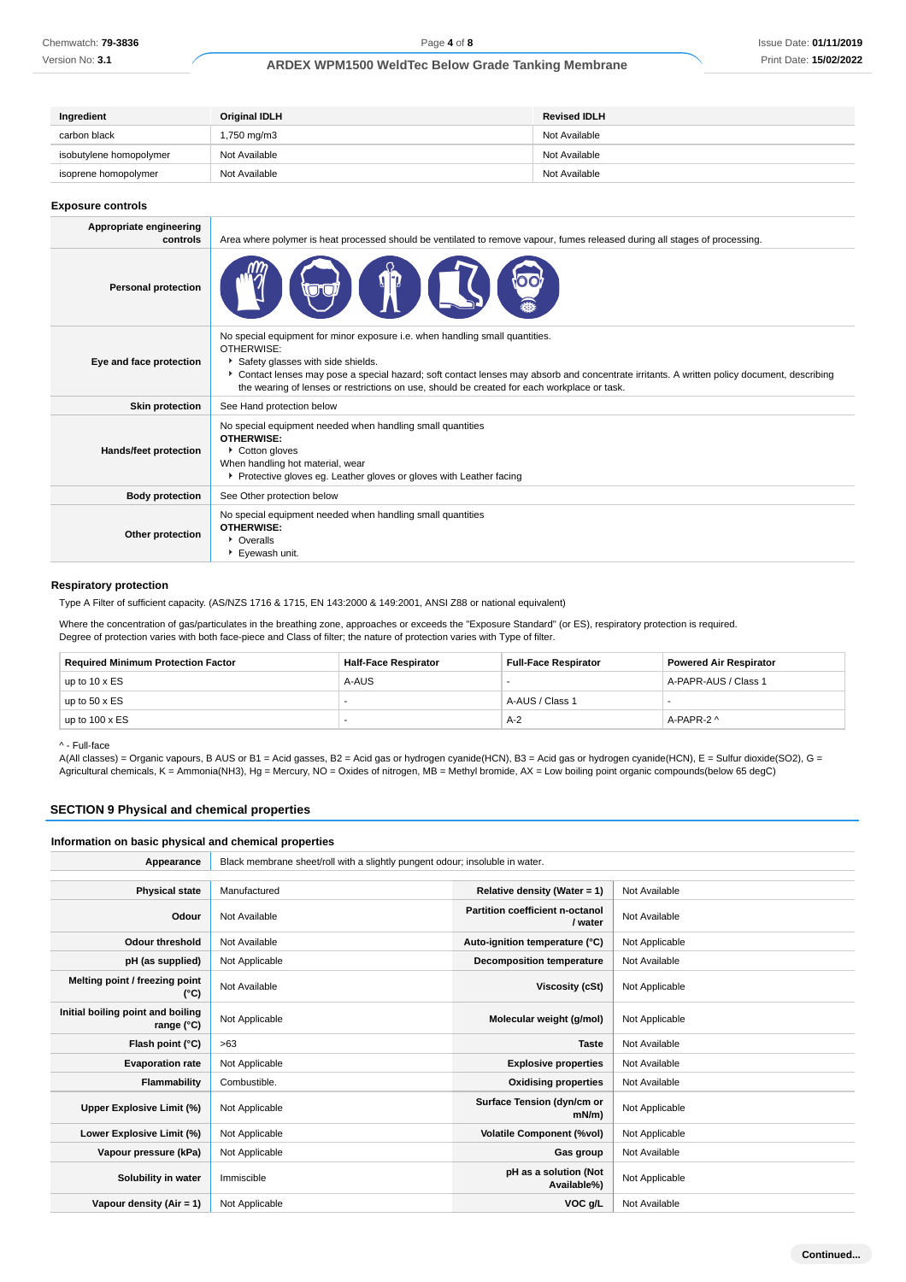Version No: **3.1**

## **ARDEX WPM1500 WeldTec Below Grade Tanking Membrane**

| Ingredient              | Original IDLH | <b>Revised IDLH</b> |
|-------------------------|---------------|---------------------|
| carbon black            | 1,750 mg/m3   | Not Available       |
| isobutylene homopolymer | Not Available | Not Available       |
| isoprene homopolymer    | Not Available | Not Available       |

#### **Exposure controls**

| Appropriate engineering<br>controls | Area where polymer is heat processed should be ventilated to remove vapour, fumes released during all stages of processing.                                                                                                                                                                                                                                                 |
|-------------------------------------|-----------------------------------------------------------------------------------------------------------------------------------------------------------------------------------------------------------------------------------------------------------------------------------------------------------------------------------------------------------------------------|
| <b>Personal protection</b>          |                                                                                                                                                                                                                                                                                                                                                                             |
| Eye and face protection             | No special equipment for minor exposure i.e. when handling small quantities.<br>OTHERWISE:<br>Safety glasses with side shields.<br>Contact lenses may pose a special hazard; soft contact lenses may absorb and concentrate irritants. A written policy document, describing<br>the wearing of lenses or restrictions on use, should be created for each workplace or task. |
| <b>Skin protection</b>              | See Hand protection below                                                                                                                                                                                                                                                                                                                                                   |
| <b>Hands/feet protection</b>        | No special equipment needed when handling small quantities<br><b>OTHERWISE:</b><br>Cotton gloves<br>When handling hot material, wear<br>▶ Protective gloves eg. Leather gloves or gloves with Leather facing                                                                                                                                                                |
| <b>Body protection</b>              | See Other protection below                                                                                                                                                                                                                                                                                                                                                  |
| Other protection                    | No special equipment needed when handling small quantities<br><b>OTHERWISE:</b><br>• Overalls<br>Eyewash unit.                                                                                                                                                                                                                                                              |

#### **Respiratory protection**

Type A Filter of sufficient capacity. (AS/NZS 1716 & 1715, EN 143:2000 & 149:2001, ANSI Z88 or national equivalent)

Where the concentration of gas/particulates in the breathing zone, approaches or exceeds the "Exposure Standard" (or ES), respiratory protection is required. Degree of protection varies with both face-piece and Class of filter; the nature of protection varies with Type of filter.

| <b>Required Minimum Protection Factor</b> | <b>Half-Face Respirator</b> | <b>Full-Face Respirator</b> | <b>Powered Air Respirator</b> |
|-------------------------------------------|-----------------------------|-----------------------------|-------------------------------|
| up to $10 \times ES$                      | A-AUS                       |                             | A-PAPR-AUS / Class 1          |
| up to $50 \times ES$                      |                             | A-AUS / Class 1             |                               |
| up to $100 \times ES$                     |                             | $A-2$                       | A-PAPR-2 ^                    |

#### ^ - Full-face

A(All classes) = Organic vapours, B AUS or B1 = Acid gasses, B2 = Acid gas or hydrogen cyanide(HCN), B3 = Acid gas or hydrogen cyanide(HCN), E = Sulfur dioxide(SO2), G = Agricultural chemicals, K = Ammonia(NH3), Hg = Mercury, NO = Oxides of nitrogen, MB = Methyl bromide, AX = Low boiling point organic compounds(below 65 degC)

## **SECTION 9 Physical and chemical properties**

#### **Information on basic physical and chemical properties**

| Appearance                                      | Black membrane sheet/roll with a slightly pungent odour; insoluble in water. |                                            |                |
|-------------------------------------------------|------------------------------------------------------------------------------|--------------------------------------------|----------------|
|                                                 |                                                                              |                                            |                |
| <b>Physical state</b>                           | Manufactured                                                                 | Relative density (Water = 1)               | Not Available  |
| Odour                                           | Not Available                                                                | Partition coefficient n-octanol<br>/ water | Not Available  |
| <b>Odour threshold</b>                          | Not Available                                                                | Auto-ignition temperature (°C)             | Not Applicable |
| pH (as supplied)                                | Not Applicable                                                               | <b>Decomposition temperature</b>           | Not Available  |
| Melting point / freezing point<br>(°C)          | Not Available                                                                | Viscosity (cSt)                            | Not Applicable |
| Initial boiling point and boiling<br>range (°C) | Not Applicable                                                               | Molecular weight (g/mol)                   | Not Applicable |
| Flash point (°C)                                | >63                                                                          | <b>Taste</b>                               | Not Available  |
| <b>Evaporation rate</b>                         | Not Applicable                                                               | <b>Explosive properties</b>                | Not Available  |
| Flammability                                    | Combustible.                                                                 | <b>Oxidising properties</b>                | Not Available  |
| Upper Explosive Limit (%)                       | Not Applicable                                                               | Surface Tension (dyn/cm or<br>$mN/m$ )     | Not Applicable |
| Lower Explosive Limit (%)                       | Not Applicable                                                               | <b>Volatile Component (%vol)</b>           | Not Applicable |
| Vapour pressure (kPa)                           | Not Applicable                                                               | Gas group                                  | Not Available  |
| Solubility in water                             | Immiscible                                                                   | pH as a solution (Not<br>Available%)       | Not Applicable |
| Vapour density $(Air = 1)$                      | Not Applicable                                                               | VOC g/L                                    | Not Available  |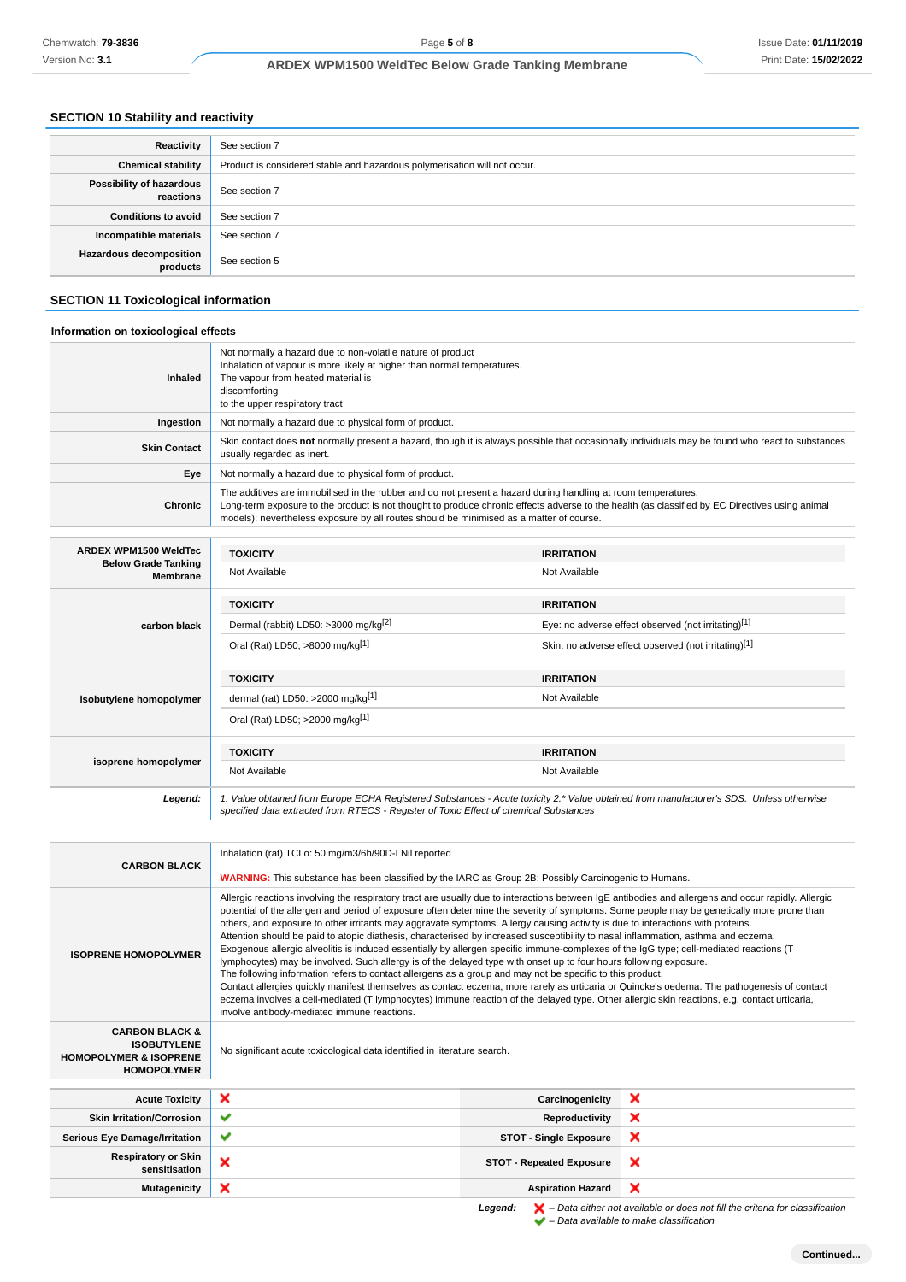#### **SECTION 10 Stability and reactivity**

| Reactivity                                 | See section 7                                                             |
|--------------------------------------------|---------------------------------------------------------------------------|
| <b>Chemical stability</b>                  | Product is considered stable and hazardous polymerisation will not occur. |
| Possibility of hazardous<br>reactions      | See section 7                                                             |
| <b>Conditions to avoid</b>                 | See section 7                                                             |
| Incompatible materials                     | See section 7                                                             |
| <b>Hazardous decomposition</b><br>products | See section 5                                                             |

#### **SECTION 11 Toxicological information**

#### **Information on toxicological effects** Not normally a hazard due to non-volatile nature of product Inhalation of vapour is more likely at higher than normal temperatures. **Inhaled** The vapour from heated material is discomforting to the upper respiratory tract **Ingestion** Not normally a hazard due to physical form of product. **Skin Contact** Skin contact does not normally present a hazard, though it is always possible that occasionally individuals may be found who react to substances usually regarded as inert. **Eye** Not normally a hazard due to physical form of product. The additives are immobilised in the rubber and do not present a hazard during handling at room temperatures. **Chronic** Long-term exposure to the product is not thought to produce chronic effects adverse to the health (as classified by EC Directives using animal models); nevertheless exposure by all routes should be minimised as a matter of course. **ARDEX WPM1500 WeldTec TOXICITY IRRITATION Below Grade Tanking** Not Available Not Available **Membrane TOXICITY IRRITATION carbon black** Dermal (rabbit) LD50: >3000 mg/kg<sup>[2]</sup> Eye: no adverse effect observed (not irritating)<sup>[1]</sup> Oral (Rat) LD50; >8000 mg/kg<sup>[1]</sup> Skin: no adverse effect observed (not irritating)<sup>[1]</sup> **TOXICITY IRRITATION** dermal (rat) LD50: >2000 mg/kg<sup>[1]</sup> and a set of a variable Not Available **isobutylene homopolymer** Oral (Rat) LD50; >2000 mg/kg[1] **TOXICITY IRRITATION isoprene homopolymer** Not Available Not Available **Legend:** 1. Value obtained from Europe ECHA Registered Substances - Acute toxicity 2.\* Value obtained from manufacturer's SDS. Unless otherwise specified data extracted from RTECS - Register of Toxic Effect of chemical Substances Inhalation (rat) TCLo: 50 mg/m3/6h/90D-I Nil reported **CARBON BLACK WARNING:** This substance has been classified by the IARC as Group 2B: Possibly Carcinogenic to Humans. Allergic reactions involving the respiratory tract are usually due to interactions between IgE antibodies and allergens and occur rapidly. Allergic potential of the allergen and period of exposure often determine the severity of symptoms. Some people may be genetically more prone than others, and exposure to other irritants may aggravate symptoms. Allergy causing activity is due to interactions with proteins. Attention should be paid to atopic diathesis, characterised by increased susceptibility to nasal inflammation, asthma and eczema. Exogenous allergic alveolitis is induced essentially by allergen specific immune-complexes of the IgG type; cell-mediated reactions (T **ISOPRENE HOMOPOLYMER** lymphocytes) may be involved. Such allergy is of the delayed type with onset up to four hours following exposure. The following information refers to contact allergens as a group and may not be specific to this product. Contact allergies quickly manifest themselves as contact eczema, more rarely as urticaria or Quincke's oedema. The pathogenesis of contact eczema involves a cell-mediated (T lymphocytes) immune reaction of the delayed type. Other allergic skin reactions, e.g. contact urticaria, involve antibody-mediated immune reactions. **CARBON BLACK & ISOBUTYLENE** No significant acute toxicological data identified in literature search. **HOMOPOLYMER & ISOPRENE HOMOPOLYMER Acute Toxicity Carcinogenicity** × **Skin Irritation/Corrosion Reproductivity**  $\mathbf x$ **Serious Eye Damage/Irritation STOT - Single Exposure** × **Respiratory or Skin story or Skin**<br>**STOT - Repeated Exposure**<br>**STOT - Repeated Exposure**  $\boldsymbol{\mathsf{x}}$ **Mutagenicity X Aspiration Hazard**

Legend:  $\mathbf{X}$  – Data either not available or does not fill the criteria for classification  $\blacktriangleright$  – Data available to make classification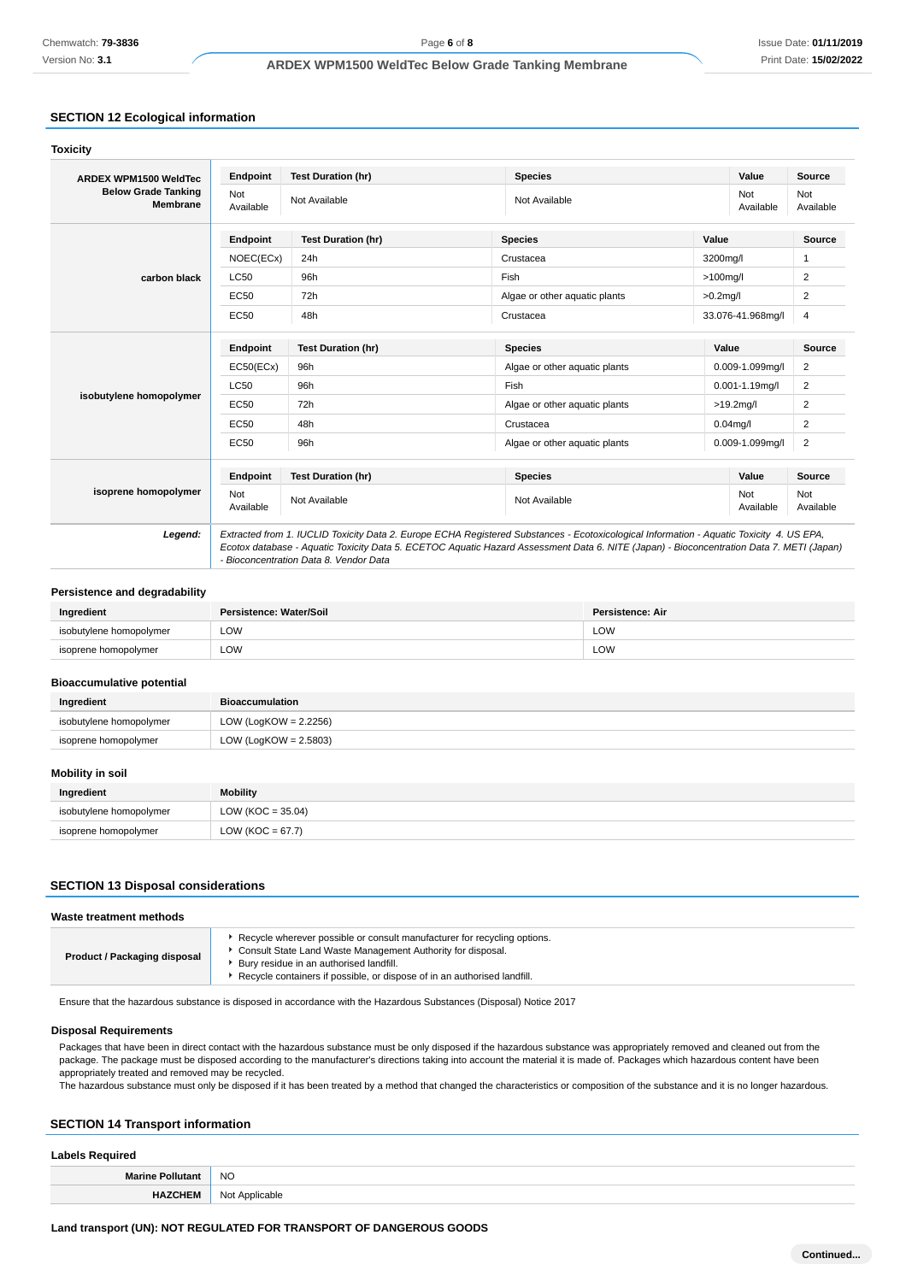Version No: **3.1**

## **ARDEX WPM1500 WeldTec Below Grade Tanking Membrane**

## **SECTION 12 Ecological information**

| <b>ARDEX WPM1500 WeldTec</b>                  | Endpoint         | <b>Test Duration (hr)</b> | <b>Species</b>                |             | Value                | Source           |
|-----------------------------------------------|------------------|---------------------------|-------------------------------|-------------|----------------------|------------------|
| <b>Below Grade Tanking</b><br><b>Membrane</b> | Not<br>Available | Not Available             | Not Available                 |             | Not<br>Available     | Not<br>Available |
|                                               | Endpoint         | <b>Test Duration (hr)</b> | <b>Species</b>                | Value       |                      | Source           |
|                                               | NOEC(ECx)        | 24h                       | Crustacea                     | 3200mg/l    |                      | 1                |
| carbon black                                  | <b>LC50</b>      | 96h                       | Fish                          | $>100$ mg/l |                      | 2                |
|                                               | EC50             | 72h                       | Algae or other aquatic plants | $>0.2$ mg/l |                      | 2                |
|                                               | EC50             | 48h                       | Crustacea                     |             | 33.076-41.968mg/l    | 4                |
|                                               | Endpoint         | <b>Test Duration (hr)</b> | <b>Species</b>                | Value       |                      | <b>Source</b>    |
|                                               | EC50(ECx)        | 96h                       | Algae or other aquatic plants |             | 0.009-1.099mg/l      | $\overline{2}$   |
|                                               | <b>LC50</b>      | 96h                       | Fish                          |             | $0.001 - 1.19$ mg/l  | 2                |
| isobutylene homopolymer                       | EC50             | 72h                       | Algae or other aquatic plants |             | $>19.2$ mg/l         | 2                |
|                                               | EC50             | 48h                       | Crustacea                     | $0.04$ mg/l |                      | 2                |
|                                               | EC50             | 96h                       | Algae or other aguatic plants |             | $0.009 - 1.099$ mg/l | 2                |
|                                               | Endpoint         | <b>Test Duration (hr)</b> | <b>Species</b>                |             | Value                | <b>Source</b>    |
| isoprene homopolymer                          | Not<br>Available | Not Available             | Not Available                 |             | Not<br>Available     | Not<br>Available |

#### **Persistence and degradability**

| Ingredient              | Persistence: Water/Soil | Persistence: Air     |
|-------------------------|-------------------------|----------------------|
| isobutylene homopolymer | LOW                     | LOW                  |
| isoprene homopolymer    | LOW<br>___              | LOW<br>$\sim$ $\sim$ |

#### **Bioaccumulative potential**

| Ingredient              | Bioaccumulation          |
|-------------------------|--------------------------|
| isobutylene homopolymer | LOW (LogKOW = $2.2256$ ) |
| isoprene homopolymer    | LOW (LogKOW = $2.5803$ ) |

## **Mobility in soil**

| Ingredient              | <b>Mobility</b>       |
|-------------------------|-----------------------|
| isobutylene homopolymer | LOW ( $KOC = 35.04$ ) |
| isoprene homopolymer    | LOW ( $KOC = 67.7$ )  |

### **SECTION 13 Disposal considerations**

#### **Waste treatment methods**

| ► Recycle wherever possible or consult manufacturer for recycling options.<br>Consult State Land Waste Management Authority for disposal.<br><b>Product / Packaging disposal</b><br>Bury residue in an authorised landfill.<br>Recycle containers if possible, or dispose of in an authorised landfill. |  |
|---------------------------------------------------------------------------------------------------------------------------------------------------------------------------------------------------------------------------------------------------------------------------------------------------------|--|
|---------------------------------------------------------------------------------------------------------------------------------------------------------------------------------------------------------------------------------------------------------------------------------------------------------|--|

Ensure that the hazardous substance is disposed in accordance with the Hazardous Substances (Disposal) Notice 2017

### **Disposal Requirements**

Packages that have been in direct contact with the hazardous substance must be only disposed if the hazardous substance was appropriately removed and cleaned out from the package. The package must be disposed according to the manufacturer's directions taking into account the material it is made of. Packages which hazardous content have been appropriately treated and removed may be recycled.

The hazardous substance must only be disposed if it has been treated by a method that changed the characteristics or composition of the substance and it is no longer hazardous.

### **SECTION 14 Transport information**

| <b>Labels Required</b>  |                |  |
|-------------------------|----------------|--|
| <b>Marine Pollutant</b> | <b>NO</b>      |  |
| <b>HAZCHEM</b>          | Not Applicable |  |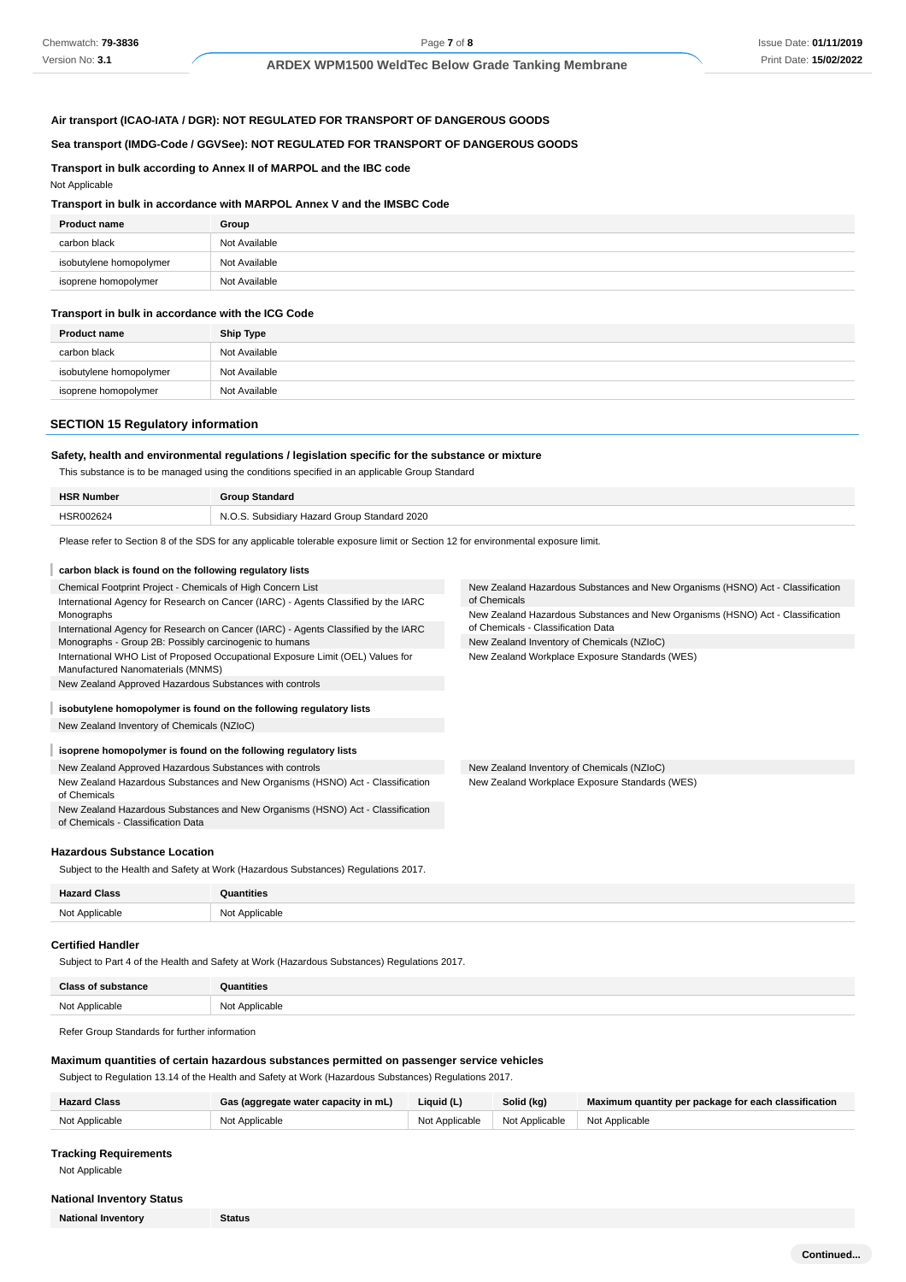#### **Air transport (ICAO-IATA / DGR): NOT REGULATED FOR TRANSPORT OF DANGEROUS GOODS**

#### **Sea transport (IMDG-Code / GGVSee): NOT REGULATED FOR TRANSPORT OF DANGEROUS GOODS**

#### **Transport in bulk according to Annex II of MARPOL and the IBC code**

#### Not Applicable

#### **Transport in bulk in accordance with MARPOL Annex V and the IMSBC Code**

| <b>Product name</b>     | Group         |
|-------------------------|---------------|
| carbon black            | Not Available |
| isobutylene homopolymer | Not Available |
| isoprene homopolymer    | Not Available |

#### **Transport in bulk in accordance with the ICG Code**

| <b>Product name</b>     | <b>Ship Type</b> |
|-------------------------|------------------|
| carbon black            | Not Available    |
| isobutylene homopolymer | Not Available    |
| isoprene homopolymer    | Not Available    |

### **SECTION 15 Regulatory information**

#### **Safety, health and environmental regulations / legislation specific for the substance or mixture**

This substance is to be managed using the conditions specified in an applicable Group Standard

| <b>HSR Number</b> | Group Standard                                    |  |
|-------------------|---------------------------------------------------|--|
| HSR002624<br>.    | Subsidiary Hazard Group Standard 2020<br>NOS<br>. |  |

Please refer to Section 8 of the SDS for any applicable tolerable exposure limit or Section 12 for environmental exposure limit.

#### **carbon black is found on the following regulatory lists**

| Chemical Footprint Project - Chemicals of High Concern List                                                          | New Zealand Hazardous Substances and New Organisms (HSNO) Act - Classification<br>of Chemicals |  |
|----------------------------------------------------------------------------------------------------------------------|------------------------------------------------------------------------------------------------|--|
| International Agency for Research on Cancer (IARC) - Agents Classified by the IARC                                   |                                                                                                |  |
| Monographs                                                                                                           | New Zealand Hazardous Substances and New Organisms (HSNO) Act - Classification                 |  |
| International Agency for Research on Cancer (IARC) - Agents Classified by the IARC                                   | of Chemicals - Classification Data                                                             |  |
| Monographs - Group 2B: Possibly carcinogenic to humans                                                               | New Zealand Inventory of Chemicals (NZIoC)                                                     |  |
| International WHO List of Proposed Occupational Exposure Limit (OEL) Values for<br>Manufactured Nanomaterials (MNMS) | New Zealand Workplace Exposure Standards (WES)                                                 |  |
| New Zealand Approved Hazardous Substances with controls                                                              |                                                                                                |  |
|                                                                                                                      |                                                                                                |  |
| isobutylene homopolymer is found on the following regulatory lists                                                   |                                                                                                |  |
| New Zealand Inventory of Chemicals (NZIoC)                                                                           |                                                                                                |  |
|                                                                                                                      |                                                                                                |  |
| isoprene homopolymer is found on the following regulatory lists                                                      |                                                                                                |  |
| New Zealand Approved Hazardous Substances with controls                                                              | New Zealand Inventory of Chemicals (NZIoC)                                                     |  |
| New Zealand Hazardous Substances and New Organisms (HSNO) Act - Classification<br>of Chemicals                       | New Zealand Workplace Exposure Standards (WES)                                                 |  |
| New Zealand Hazardous Substances and New Organisms (HSNO) Act - Classification<br>of Chemicals - Classification Data |                                                                                                |  |

#### **Hazardous Substance Location**

Subject to the Health and Safety at Work (Hazardous Substances) Regulations 2017.

| <b>Hazard Class</b> | Quantities     |
|---------------------|----------------|
| Not Applicable      | Not Applicable |

#### **Certified Handler**

Subject to Part 4 of the Health and Safety at Work (Hazardous Substances) Regulations 2017.

| <b>Class of substance</b> | Quantities            |
|---------------------------|-----------------------|
| Not Applicable            | Not Applicable<br>___ |

Refer Group Standards for further information

#### **Maximum quantities of certain hazardous substances permitted on passenger service vehicles**

Subject to Regulation 13.14 of the Health and Safety at Work (Hazardous Substances) Regulations 2017.

| <b>Hazard Class</b> | Gas (aggregate water capacity in mL) | Liauid (L)     | Solid (kg)     | Maximum quantity per package for each classification |
|---------------------|--------------------------------------|----------------|----------------|------------------------------------------------------|
| Not Applicable      | Not Applicable                       | Not Applicable | Not Applicable | Not Applicable                                       |

#### **Tracking Requirements**

Not Applicable

#### **National Inventory Status**

**National Inventory Status**

**Continued...**